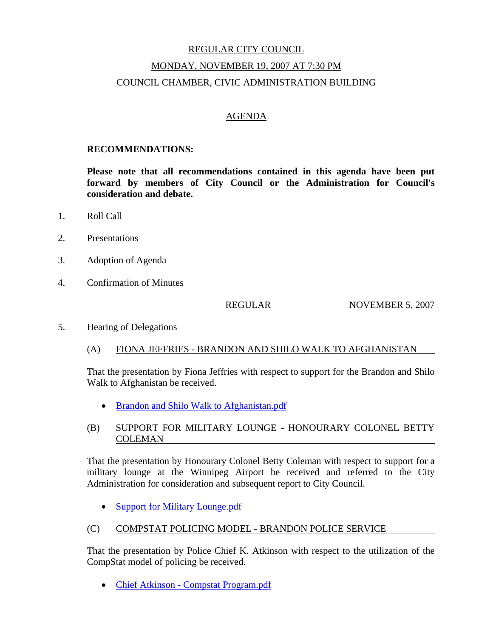# REGULAR CITY COUNCIL MONDAY, NOVEMBER 19, 2007 AT 7:30 PM COUNCIL CHAMBER, CIVIC ADMINISTRATION BUILDING

## AGENDA

#### **RECOMMENDATIONS:**

**Please note that all recommendations contained in this agenda have been put forward by members of City Council or the Administration for Council's consideration and debate.** 

- 1. Roll Call
- 2. Presentations
- 3. Adoption of Agenda
- 4. Confirmation of Minutes

REGULAR NOVEMBER 5, 2007

5. Hearing of Delegations

#### (A) FIONA JEFFRIES - BRANDON AND SHILO WALK TO AFGHANISTAN

That the presentation by Fiona Jeffries with respect to support for the Brandon and Shilo Walk to Afghanistan be received.

• Brandon and Shilo Walk to Afghanistan.pdf

## (B) SUPPORT FOR MILITARY LOUNGE - HONOURARY COLONEL BETTY COLEMAN

That the presentation by Honourary Colonel Betty Coleman with respect to support for a military lounge at the Winnipeg Airport be received and referred to the City Administration for consideration and subsequent report to City Council.

• Support for Military Lounge.pdf

#### (C) COMPSTAT POLICING MODEL - BRANDON POLICE SERVICE

That the presentation by Police Chief K. Atkinson with respect to the utilization of the CompStat model of policing be received.

• Chief Atkinson - Compstat Program.pdf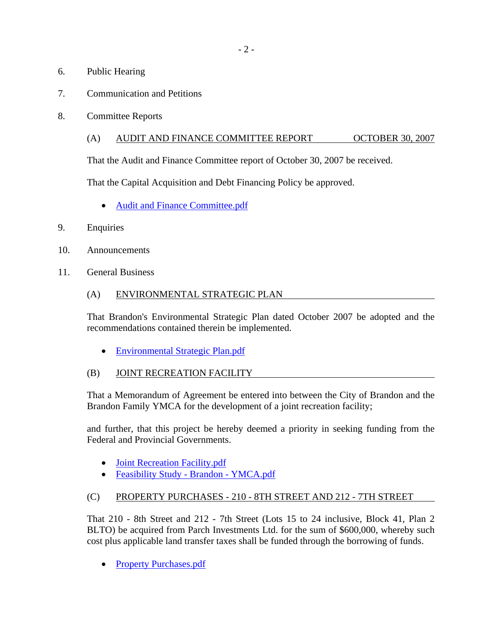- 6. Public Hearing
- 7. Communication and Petitions
- 8. Committee Reports

### (A) AUDIT AND FINANCE COMMITTEE REPORT OCTOBER 30, 2007

That the Audit and Finance Committee report of October 30, 2007 be received.

That the Capital Acquisition and Debt Financing Policy be approved.

- Audit and Finance Committee.pdf
- 9. Enquiries
- 10. Announcements
- 11. General Business
	- (A) ENVIRONMENTAL STRATEGIC PLAN

That Brandon's Environmental Strategic Plan dated October 2007 be adopted and the recommendations contained therein be implemented.

- Environmental Strategic Plan.pdf
- (B) JOINT RECREATION FACILITY

That a Memorandum of Agreement be entered into between the City of Brandon and the Brandon Family YMCA for the development of a joint recreation facility;

and further, that this project be hereby deemed a priority in seeking funding from the Federal and Provincial Governments.

- Joint Recreation Facility.pdf
- Feasibility Study Brandon YMCA.pdf

# (C) PROPERTY PURCHASES - 210 - 8TH STREET AND 212 - 7TH STREET

That 210 - 8th Street and 212 - 7th Street (Lots 15 to 24 inclusive, Block 41, Plan 2 BLTO) be acquired from Parch Investments Ltd. for the sum of \$600,000, whereby such cost plus applicable land transfer taxes shall be funded through the borrowing of funds.

• Property Purchases.pdf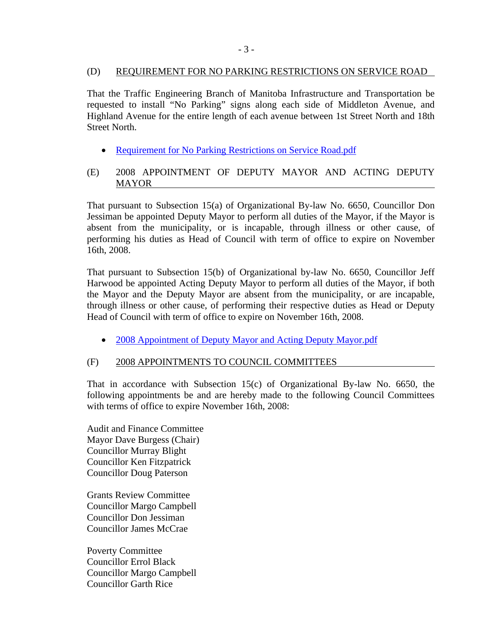### (D) REQUIREMENT FOR NO PARKING RESTRICTIONS ON SERVICE ROAD

That the Traffic Engineering Branch of Manitoba Infrastructure and Transportation be requested to install "No Parking" signs along each side of Middleton Avenue, and Highland Avenue for the entire length of each avenue between 1st Street North and 18th Street North.

- Requirement for No Parking Restrictions on Service Road.pdf
- (E) 2008 APPOINTMENT OF DEPUTY MAYOR AND ACTING DEPUTY MAYOR

That pursuant to Subsection 15(a) of Organizational By-law No. 6650, Councillor Don Jessiman be appointed Deputy Mayor to perform all duties of the Mayor, if the Mayor is absent from the municipality, or is incapable, through illness or other cause, of performing his duties as Head of Council with term of office to expire on November 16th, 2008.

That pursuant to Subsection 15(b) of Organizational by-law No. 6650, Councillor Jeff Harwood be appointed Acting Deputy Mayor to perform all duties of the Mayor, if both the Mayor and the Deputy Mayor are absent from the municipality, or are incapable, through illness or other cause, of performing their respective duties as Head or Deputy Head of Council with term of office to expire on November 16th, 2008.

• 2008 Appointment of Deputy Mayor and Acting Deputy Mayor.pdf

# (F) 2008 APPOINTMENTS TO COUNCIL COMMITTEES

That in accordance with Subsection 15(c) of Organizational By-law No. 6650, the following appointments be and are hereby made to the following Council Committees with terms of office to expire November 16th, 2008:

Audit and Finance Committee Mayor Dave Burgess (Chair) Councillor Murray Blight Councillor Ken Fitzpatrick Councillor Doug Paterson

Grants Review Committee Councillor Margo Campbell Councillor Don Jessiman Councillor James McCrae

Poverty Committee Councillor Errol Black Councillor Margo Campbell Councillor Garth Rice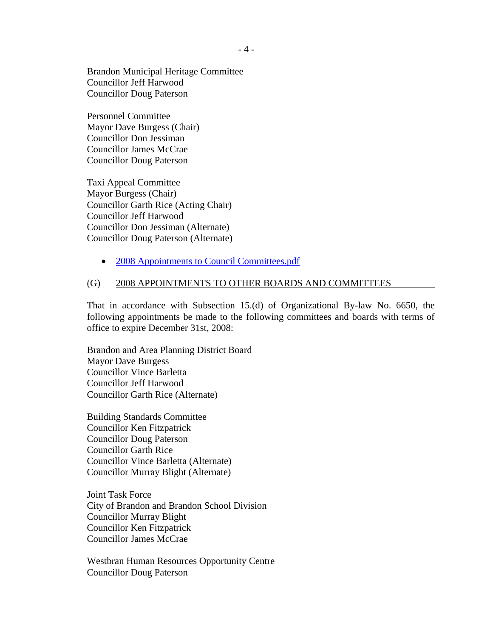Brandon Municipal Heritage Committee Councillor Jeff Harwood Councillor Doug Paterson

Personnel Committee Mayor Dave Burgess (Chair) Councillor Don Jessiman Councillor James McCrae Councillor Doug Paterson

Taxi Appeal Committee Mayor Burgess (Chair) Councillor Garth Rice (Acting Chair) Councillor Jeff Harwood Councillor Don Jessiman (Alternate) Councillor Doug Paterson (Alternate)

• 2008 Appointments to Council Committees.pdf

#### (G) 2008 APPOINTMENTS TO OTHER BOARDS AND COMMITTEES

That in accordance with Subsection 15.(d) of Organizational By-law No. 6650, the following appointments be made to the following committees and boards with terms of office to expire December 31st, 2008:

Brandon and Area Planning District Board Mayor Dave Burgess Councillor Vince Barletta Councillor Jeff Harwood Councillor Garth Rice (Alternate)

Building Standards Committee Councillor Ken Fitzpatrick Councillor Doug Paterson Councillor Garth Rice Councillor Vince Barletta (Alternate) Councillor Murray Blight (Alternate)

Joint Task Force City of Brandon and Brandon School Division Councillor Murray Blight Councillor Ken Fitzpatrick Councillor James McCrae

Westbran Human Resources Opportunity Centre Councillor Doug Paterson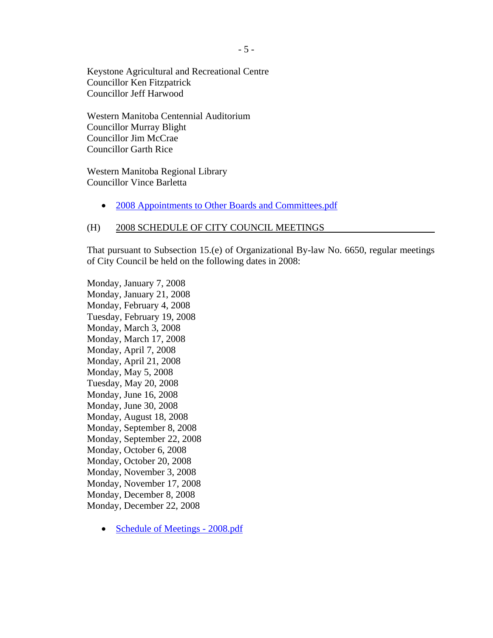Keystone Agricultural and Recreational Centre Councillor Ken Fitzpatrick Councillor Jeff Harwood

Western Manitoba Centennial Auditorium Councillor Murray Blight Councillor Jim McCrae Councillor Garth Rice

Western Manitoba Regional Library Councillor Vince Barletta

• 2008 Appointments to Other Boards and Committees.pdf

#### (H) 2008 SCHEDULE OF CITY COUNCIL MEETINGS

That pursuant to Subsection 15.(e) of Organizational By-law No. 6650, regular meetings of City Council be held on the following dates in 2008:

Monday, January 7, 2008 Monday, January 21, 2008 Monday, February 4, 2008 Tuesday, February 19, 2008 Monday, March 3, 2008 Monday, March 17, 2008 Monday, April 7, 2008 Monday, April 21, 2008 Monday, May 5, 2008 Tuesday, May 20, 2008 Monday, June 16, 2008 Monday, June 30, 2008 Monday, August 18, 2008 Monday, September 8, 2008 Monday, September 22, 2008 Monday, October 6, 2008 Monday, October 20, 2008 Monday, November 3, 2008 Monday, November 17, 2008 Monday, December 8, 2008 Monday, December 22, 2008

• Schedule of Meetings - 2008.pdf